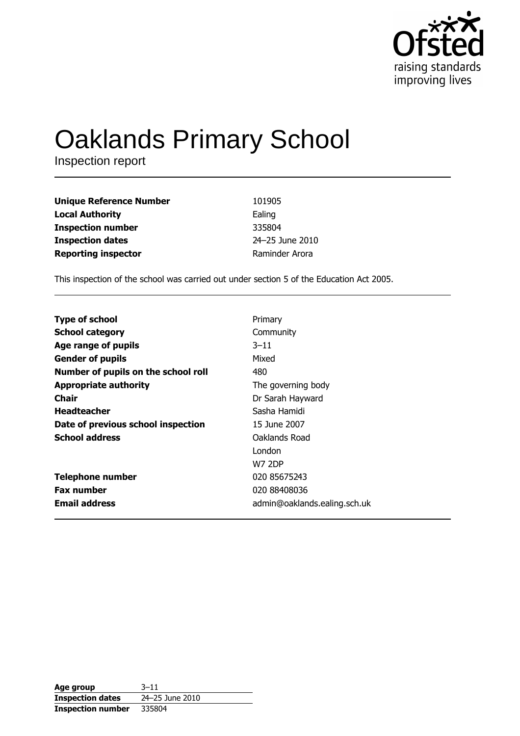

# **Oaklands Primary School**

Inspection report

| <b>Unique Reference Number</b> | 101905          |
|--------------------------------|-----------------|
| <b>Local Authority</b>         | Ealing          |
| <b>Inspection number</b>       | 335804          |
| <b>Inspection dates</b>        | 24-25 June 2010 |
| <b>Reporting inspector</b>     | Raminder Arora  |

This inspection of the school was carried out under section 5 of the Education Act 2005.

| <b>Type of school</b>               | Primary                      |
|-------------------------------------|------------------------------|
| <b>School category</b>              | Community                    |
| Age range of pupils                 | $3 - 11$                     |
| <b>Gender of pupils</b>             | Mixed                        |
| Number of pupils on the school roll | 480                          |
| <b>Appropriate authority</b>        | The governing body           |
| <b>Chair</b>                        | Dr Sarah Hayward             |
| <b>Headteacher</b>                  | Sasha Hamidi                 |
| Date of previous school inspection  | 15 June 2007                 |
| <b>School address</b>               | Oaklands Road                |
|                                     | London                       |
|                                     | <b>W7 2DP</b>                |
| <b>Telephone number</b>             | 020 85675243                 |
| <b>Fax number</b>                   | 020 88408036                 |
| <b>Email address</b>                | admin@oaklands.ealing.sch.uk |

| Age group                | $3 - 11$        |
|--------------------------|-----------------|
| <b>Inspection dates</b>  | 24-25 June 2010 |
| <b>Inspection number</b> | 335804          |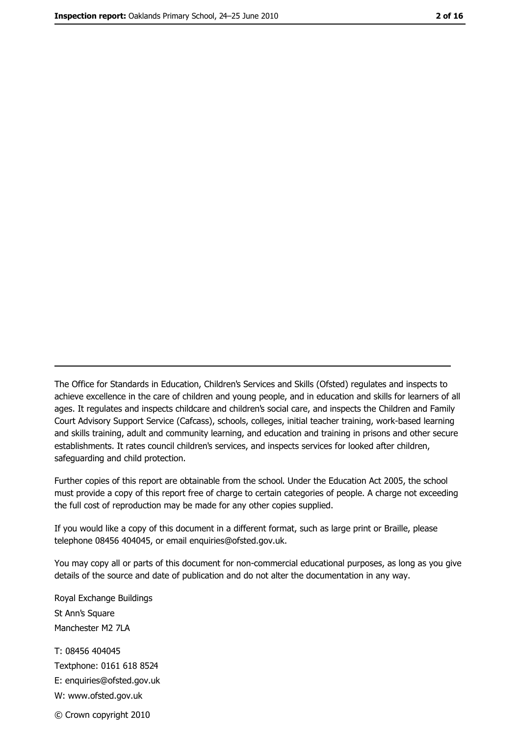The Office for Standards in Education, Children's Services and Skills (Ofsted) regulates and inspects to achieve excellence in the care of children and young people, and in education and skills for learners of all ages. It regulates and inspects childcare and children's social care, and inspects the Children and Family Court Advisory Support Service (Cafcass), schools, colleges, initial teacher training, work-based learning and skills training, adult and community learning, and education and training in prisons and other secure establishments. It rates council children's services, and inspects services for looked after children, safequarding and child protection.

Further copies of this report are obtainable from the school. Under the Education Act 2005, the school must provide a copy of this report free of charge to certain categories of people. A charge not exceeding the full cost of reproduction may be made for any other copies supplied.

If you would like a copy of this document in a different format, such as large print or Braille, please telephone 08456 404045, or email enquiries@ofsted.gov.uk.

You may copy all or parts of this document for non-commercial educational purposes, as long as you give details of the source and date of publication and do not alter the documentation in any way.

Royal Exchange Buildings St Ann's Square Manchester M2 7LA T: 08456 404045 Textphone: 0161 618 8524 E: enquiries@ofsted.gov.uk W: www.ofsted.gov.uk © Crown copyright 2010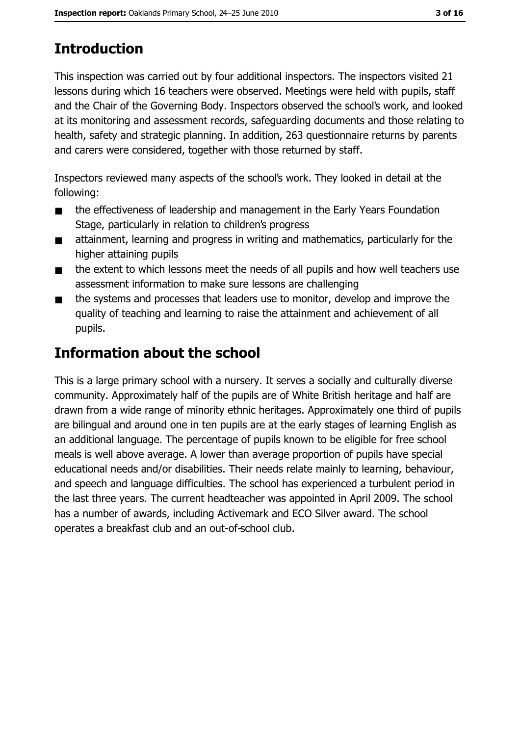# **Introduction**

This inspection was carried out by four additional inspectors. The inspectors visited 21 lessons during which 16 teachers were observed. Meetings were held with pupils, staff and the Chair of the Governing Body. Inspectors observed the school's work, and looked at its monitoring and assessment records, safeguarding documents and those relating to health, safety and strategic planning. In addition, 263 questionnaire returns by parents and carers were considered, together with those returned by staff.

Inspectors reviewed many aspects of the school's work. They looked in detail at the following:

- the effectiveness of leadership and management in the Early Years Foundation  $\blacksquare$ Stage, particularly in relation to children's progress
- attainment, learning and progress in writing and mathematics, particularly for the  $\blacksquare$ higher attaining pupils
- the extent to which lessons meet the needs of all pupils and how well teachers use  $\blacksquare$ assessment information to make sure lessons are challenging
- the systems and processes that leaders use to monitor, develop and improve the  $\blacksquare$ quality of teaching and learning to raise the attainment and achievement of all pupils.

# **Information about the school**

This is a large primary school with a nursery. It serves a socially and culturally diverse community. Approximately half of the pupils are of White British heritage and half are drawn from a wide range of minority ethnic heritages. Approximately one third of pupils are bilingual and around one in ten pupils are at the early stages of learning English as an additional language. The percentage of pupils known to be eligible for free school meals is well above average. A lower than average proportion of pupils have special educational needs and/or disabilities. Their needs relate mainly to learning, behaviour, and speech and language difficulties. The school has experienced a turbulent period in the last three years. The current headteacher was appointed in April 2009. The school has a number of awards, including Activemark and ECO Silver award. The school operates a breakfast club and an out-of-school club.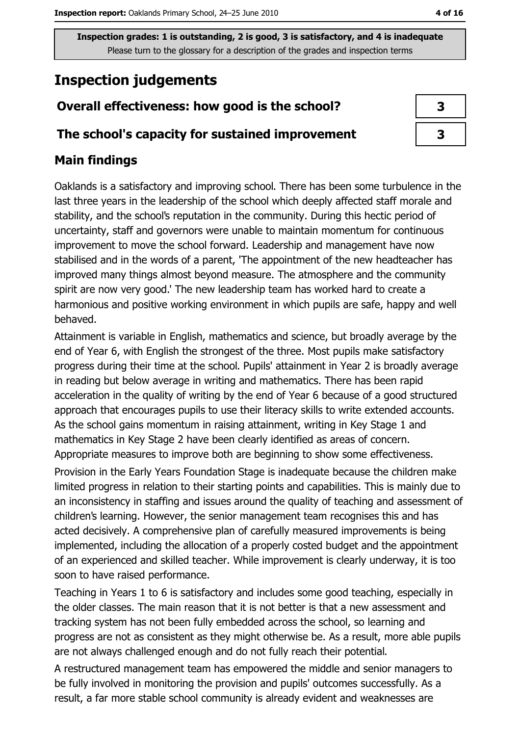# **Inspection judgements**

# Overall effectiveness: how good is the school?

## The school's capacity for sustained improvement

# **Main findings**

Oaklands is a satisfactory and improving school. There has been some turbulence in the last three years in the leadership of the school which deeply affected staff morale and stability, and the school's reputation in the community. During this hectic period of uncertainty, staff and governors were unable to maintain momentum for continuous improvement to move the school forward. Leadership and management have now stabilised and in the words of a parent, 'The appointment of the new headteacher has improved many things almost beyond measure. The atmosphere and the community spirit are now very good.' The new leadership team has worked hard to create a harmonious and positive working environment in which pupils are safe, happy and well behaved.

Attainment is variable in English, mathematics and science, but broadly average by the end of Year 6, with English the strongest of the three. Most pupils make satisfactory progress during their time at the school. Pupils' attainment in Year 2 is broadly average in reading but below average in writing and mathematics. There has been rapid acceleration in the quality of writing by the end of Year 6 because of a good structured approach that encourages pupils to use their literacy skills to write extended accounts. As the school gains momentum in raising attainment, writing in Key Stage 1 and mathematics in Key Stage 2 have been clearly identified as areas of concern. Appropriate measures to improve both are beginning to show some effectiveness.

Provision in the Early Years Foundation Stage is inadequate because the children make limited progress in relation to their starting points and capabilities. This is mainly due to an inconsistency in staffing and issues around the quality of teaching and assessment of children's learning. However, the senior management team recognises this and has acted decisively. A comprehensive plan of carefully measured improvements is being implemented, including the allocation of a properly costed budget and the appointment of an experienced and skilled teacher. While improvement is clearly underway, it is too soon to have raised performance.

Teaching in Years 1 to 6 is satisfactory and includes some good teaching, especially in the older classes. The main reason that it is not better is that a new assessment and tracking system has not been fully embedded across the school, so learning and progress are not as consistent as they might otherwise be. As a result, more able pupils are not always challenged enough and do not fully reach their potential.

A restructured management team has empowered the middle and senior managers to be fully involved in monitoring the provision and pupils' outcomes successfully. As a result, a far more stable school community is already evident and weaknesses are

| 3 |  |
|---|--|
| 3 |  |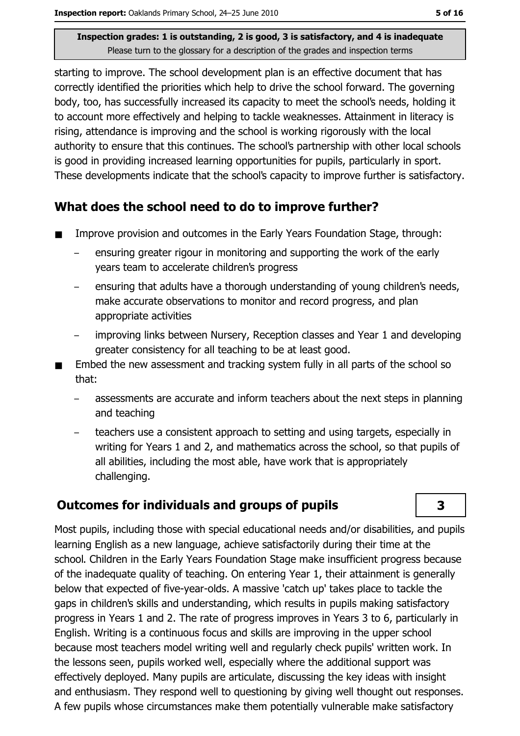starting to improve. The school development plan is an effective document that has correctly identified the priorities which help to drive the school forward. The governing body, too, has successfully increased its capacity to meet the school's needs, holding it to account more effectively and helping to tackle weaknesses. Attainment in literacy is rising, attendance is improving and the school is working rigorously with the local authority to ensure that this continues. The school's partnership with other local schools is good in providing increased learning opportunities for pupils, particularly in sport. These developments indicate that the school's capacity to improve further is satisfactory.

## What does the school need to do to improve further?

- Improve provision and outcomes in the Early Years Foundation Stage, through:  $\blacksquare$ 
	- ensuring greater rigour in monitoring and supporting the work of the early years team to accelerate children's progress
	- ensuring that adults have a thorough understanding of young children's needs, make accurate observations to monitor and record progress, and plan appropriate activities
	- improving links between Nursery, Reception classes and Year 1 and developing greater consistency for all teaching to be at least good.
- Embed the new assessment and tracking system fully in all parts of the school so that:
	- assessments are accurate and inform teachers about the next steps in planning and teaching
	- teachers use a consistent approach to setting and using targets, especially in writing for Years 1 and 2, and mathematics across the school, so that pupils of all abilities, including the most able, have work that is appropriately challenging.

# **Outcomes for individuals and groups of pupils**

3

Most pupils, including those with special educational needs and/or disabilities, and pupils learning English as a new language, achieve satisfactorily during their time at the school. Children in the Early Years Foundation Stage make insufficient progress because of the inadequate quality of teaching. On entering Year 1, their attainment is generally below that expected of five-year-olds. A massive 'catch up' takes place to tackle the gaps in children's skills and understanding, which results in pupils making satisfactory progress in Years 1 and 2. The rate of progress improves in Years 3 to 6, particularly in English. Writing is a continuous focus and skills are improving in the upper school because most teachers model writing well and regularly check pupils' written work. In the lessons seen, pupils worked well, especially where the additional support was effectively deployed. Many pupils are articulate, discussing the key ideas with insight and enthusiasm. They respond well to questioning by giving well thought out responses. A few pupils whose circumstances make them potentially vulnerable make satisfactory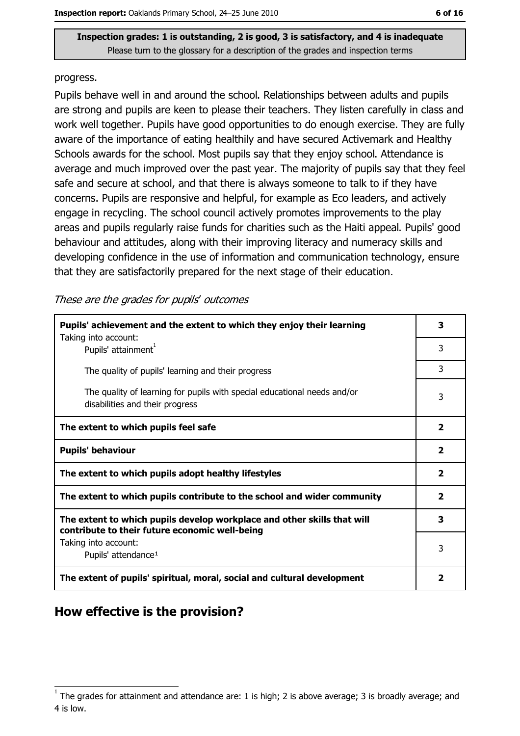#### progress.

Pupils behave well in and around the school. Relationships between adults and pupils are strong and pupils are keen to please their teachers. They listen carefully in class and work well together. Pupils have good opportunities to do enough exercise. They are fully aware of the importance of eating healthily and have secured Activemark and Healthy Schools awards for the school. Most pupils say that they enjoy school. Attendance is average and much improved over the past year. The majority of pupils say that they feel safe and secure at school, and that there is always someone to talk to if they have concerns. Pupils are responsive and helpful, for example as Eco leaders, and actively engage in recycling. The school council actively promotes improvements to the play areas and pupils regularly raise funds for charities such as the Haiti appeal. Pupils' good behaviour and attitudes, along with their improving literacy and numeracy skills and developing confidence in the use of information and communication technology, ensure that they are satisfactorily prepared for the next stage of their education.

#### These are the grades for pupils' outcomes

| Pupils' achievement and the extent to which they enjoy their learning                                                     |                         |  |
|---------------------------------------------------------------------------------------------------------------------------|-------------------------|--|
| Taking into account:<br>Pupils' attainment <sup>1</sup>                                                                   | 3                       |  |
| The quality of pupils' learning and their progress                                                                        | 3                       |  |
| The quality of learning for pupils with special educational needs and/or<br>disabilities and their progress               | 3                       |  |
| The extent to which pupils feel safe                                                                                      | $\mathbf{2}$            |  |
| <b>Pupils' behaviour</b>                                                                                                  | $\overline{\mathbf{2}}$ |  |
| The extent to which pupils adopt healthy lifestyles                                                                       | $\overline{\mathbf{2}}$ |  |
| The extent to which pupils contribute to the school and wider community                                                   | $\mathbf{2}$            |  |
| The extent to which pupils develop workplace and other skills that will<br>contribute to their future economic well-being | 3                       |  |
| Taking into account:<br>Pupils' attendance <sup>1</sup>                                                                   | 3                       |  |
| The extent of pupils' spiritual, moral, social and cultural development                                                   | 2                       |  |

# How effective is the provision?

The grades for attainment and attendance are: 1 is high; 2 is above average; 3 is broadly average; and 4 is low.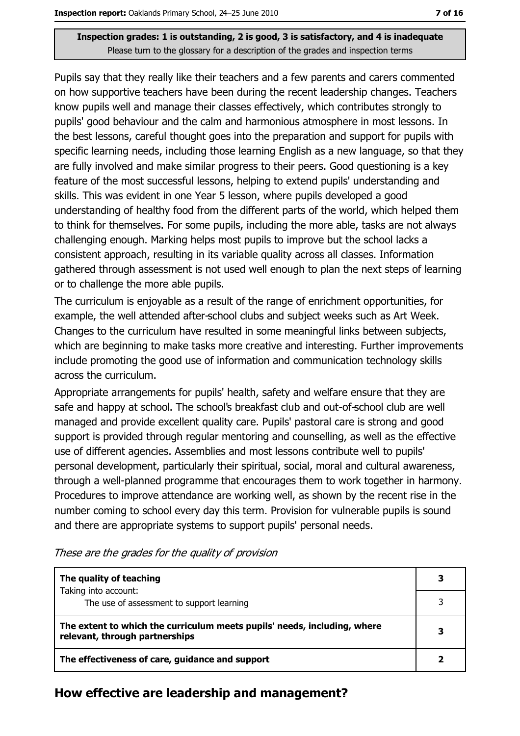Pupils say that they really like their teachers and a few parents and carers commented on how supportive teachers have been during the recent leadership changes. Teachers know pupils well and manage their classes effectively, which contributes strongly to pupils' good behaviour and the calm and harmonious atmosphere in most lessons. In the best lessons, careful thought goes into the preparation and support for pupils with specific learning needs, including those learning English as a new language, so that they are fully involved and make similar progress to their peers. Good questioning is a key feature of the most successful lessons, helping to extend pupils' understanding and skills. This was evident in one Year 5 lesson, where pupils developed a good understanding of healthy food from the different parts of the world, which helped them to think for themselves. For some pupils, including the more able, tasks are not always challenging enough. Marking helps most pupils to improve but the school lacks a consistent approach, resulting in its variable quality across all classes. Information gathered through assessment is not used well enough to plan the next steps of learning or to challenge the more able pupils.

The curriculum is enjoyable as a result of the range of enrichment opportunities, for example, the well attended after-school clubs and subject weeks such as Art Week. Changes to the curriculum have resulted in some meaningful links between subjects, which are beginning to make tasks more creative and interesting. Further improvements include promoting the good use of information and communication technology skills across the curriculum.

Appropriate arrangements for pupils' health, safety and welfare ensure that they are safe and happy at school. The school's breakfast club and out-of-school club are well managed and provide excellent quality care. Pupils' pastoral care is strong and good support is provided through regular mentoring and counselling, as well as the effective use of different agencies. Assemblies and most lessons contribute well to pupils' personal development, particularly their spiritual, social, moral and cultural awareness, through a well-planned programme that encourages them to work together in harmony. Procedures to improve attendance are working well, as shown by the recent rise in the number coming to school every day this term. Provision for vulnerable pupils is sound and there are appropriate systems to support pupils' personal needs.

| The quality of teaching                                                                                    |  |
|------------------------------------------------------------------------------------------------------------|--|
| Taking into account:<br>The use of assessment to support learning                                          |  |
|                                                                                                            |  |
|                                                                                                            |  |
| The extent to which the curriculum meets pupils' needs, including, where<br>relevant, through partnerships |  |

These are the grades for the quality of provision

### How effective are leadership and management?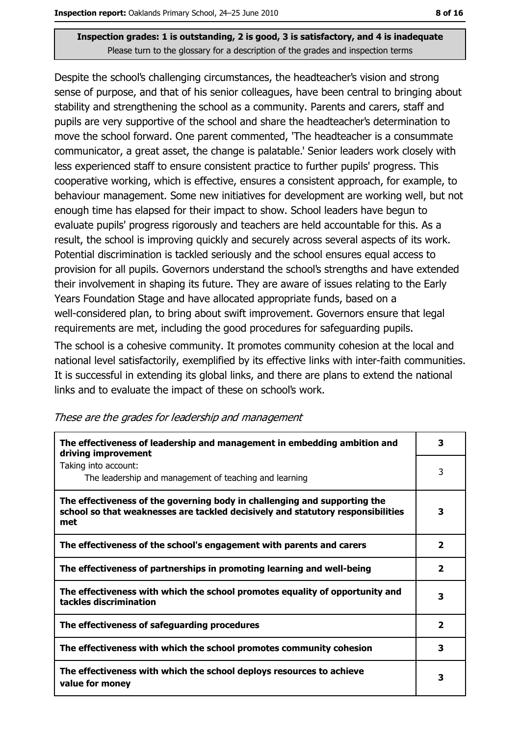Despite the school's challenging circumstances, the headteacher's vision and strong sense of purpose, and that of his senior colleagues, have been central to bringing about stability and strengthening the school as a community. Parents and carers, staff and pupils are very supportive of the school and share the headteacher's determination to move the school forward. One parent commented, 'The headteacher is a consummate communicator, a great asset, the change is palatable.' Senior leaders work closely with less experienced staff to ensure consistent practice to further pupils' progress. This cooperative working, which is effective, ensures a consistent approach, for example, to behaviour management. Some new initiatives for development are working well, but not enough time has elapsed for their impact to show. School leaders have begun to evaluate pupils' progress rigorously and teachers are held accountable for this. As a result, the school is improving quickly and securely across several aspects of its work. Potential discrimination is tackled seriously and the school ensures equal access to provision for all pupils. Governors understand the school's strengths and have extended their involvement in shaping its future. They are aware of issues relating to the Early Years Foundation Stage and have allocated appropriate funds, based on a well-considered plan, to bring about swift improvement. Governors ensure that legal requirements are met, including the good procedures for safeguarding pupils. The school is a cohesive community. It promotes community cohesion at the local and national level satisfactorily, exemplified by its effective links with inter-faith communities. It is successful in extending its global links, and there are plans to extend the national links and to evaluate the impact of these on school's work.

| The effectiveness of leadership and management in embedding ambition and<br>driving improvement                                                                     | 3                       |
|---------------------------------------------------------------------------------------------------------------------------------------------------------------------|-------------------------|
| Taking into account:<br>The leadership and management of teaching and learning                                                                                      | 3                       |
| The effectiveness of the governing body in challenging and supporting the<br>school so that weaknesses are tackled decisively and statutory responsibilities<br>met | 3                       |
| The effectiveness of the school's engagement with parents and carers                                                                                                | 2                       |
| The effectiveness of partnerships in promoting learning and well-being                                                                                              | $\overline{\mathbf{2}}$ |
| The effectiveness with which the school promotes equality of opportunity and<br>tackles discrimination                                                              | 3                       |
| The effectiveness of safeguarding procedures                                                                                                                        | $\overline{\mathbf{2}}$ |
| The effectiveness with which the school promotes community cohesion                                                                                                 | 3                       |
| The effectiveness with which the school deploys resources to achieve<br>value for money                                                                             | 3                       |

These are the grades for leadership and management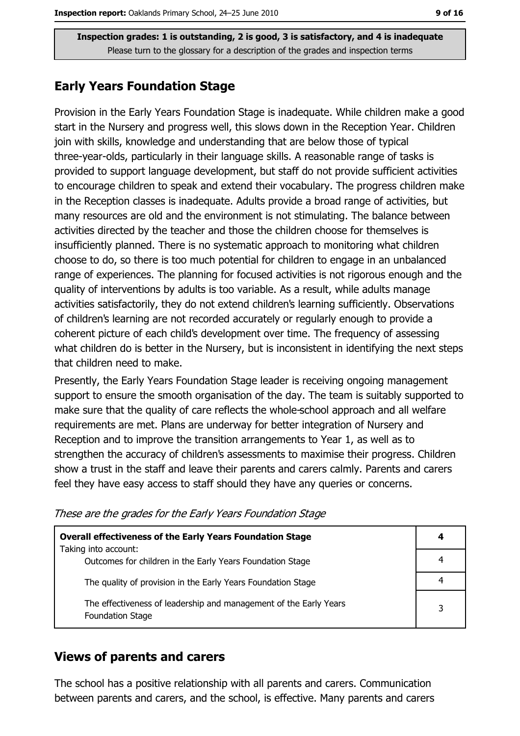### **Early Years Foundation Stage**

Provision in the Early Years Foundation Stage is inadequate. While children make a good start in the Nursery and progress well, this slows down in the Reception Year. Children join with skills, knowledge and understanding that are below those of typical three-year-olds, particularly in their language skills. A reasonable range of tasks is provided to support language development, but staff do not provide sufficient activities to encourage children to speak and extend their vocabulary. The progress children make in the Reception classes is inadequate. Adults provide a broad range of activities, but many resources are old and the environment is not stimulating. The balance between activities directed by the teacher and those the children choose for themselves is insufficiently planned. There is no systematic approach to monitoring what children choose to do, so there is too much potential for children to engage in an unbalanced range of experiences. The planning for focused activities is not rigorous enough and the quality of interventions by adults is too variable. As a result, while adults manage activities satisfactorily, they do not extend children's learning sufficiently. Observations of children's learning are not recorded accurately or regularly enough to provide a coherent picture of each child's development over time. The frequency of assessing what children do is better in the Nursery, but is inconsistent in identifying the next steps that children need to make.

Presently, the Early Years Foundation Stage leader is receiving ongoing management support to ensure the smooth organisation of the day. The team is suitably supported to make sure that the quality of care reflects the whole-school approach and all welfare requirements are met. Plans are underway for better integration of Nursery and Reception and to improve the transition arrangements to Year 1, as well as to strengthen the accuracy of children's assessments to maximise their progress. Children show a trust in the staff and leave their parents and carers calmly. Parents and carers feel they have easy access to staff should they have any queries or concerns.

| <b>Overall effectiveness of the Early Years Foundation Stage</b><br>Taking into account:     | 4 |
|----------------------------------------------------------------------------------------------|---|
| Outcomes for children in the Early Years Foundation Stage                                    |   |
| The quality of provision in the Early Years Foundation Stage                                 |   |
| The effectiveness of leadership and management of the Early Years<br><b>Foundation Stage</b> | 3 |

These are the grades for the Early Years Foundation Stage

### **Views of parents and carers**

The school has a positive relationship with all parents and carers. Communication between parents and carers, and the school, is effective. Many parents and carers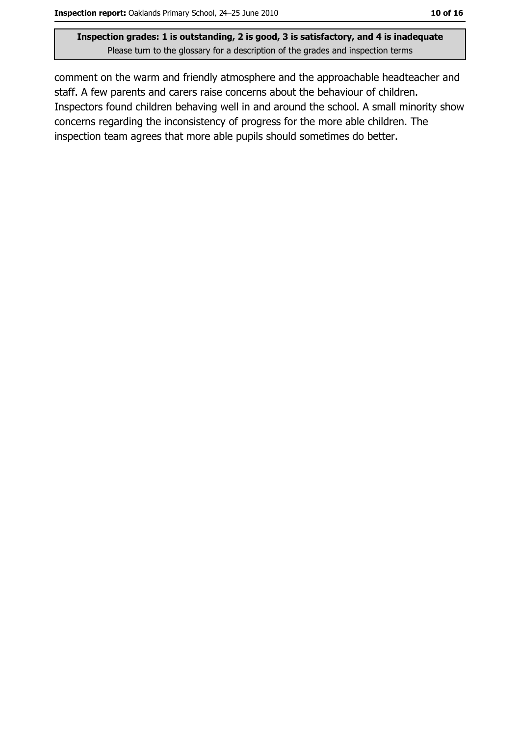comment on the warm and friendly atmosphere and the approachable headteacher and staff. A few parents and carers raise concerns about the behaviour of children. Inspectors found children behaving well in and around the school. A small minority show concerns regarding the inconsistency of progress for the more able children. The inspection team agrees that more able pupils should sometimes do better.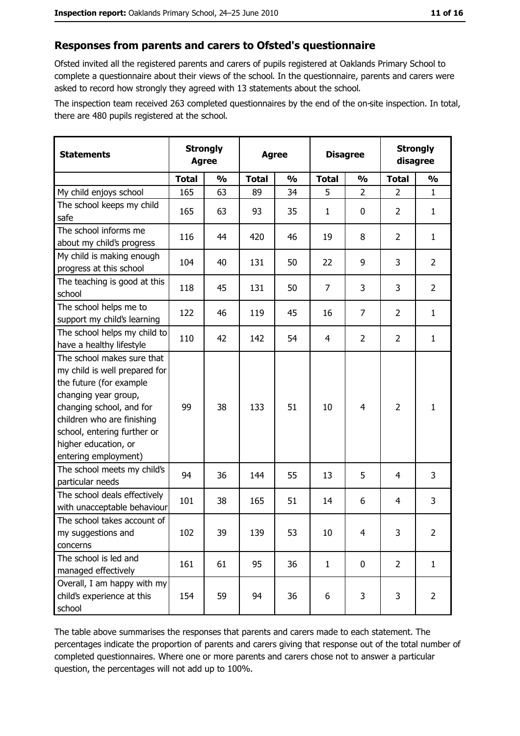#### Responses from parents and carers to Ofsted's questionnaire

Ofsted invited all the registered parents and carers of pupils registered at Oaklands Primary School to complete a questionnaire about their views of the school. In the questionnaire, parents and carers were asked to record how strongly they agreed with 13 statements about the school.

The inspection team received 263 completed questionnaires by the end of the on-site inspection. In total, there are 480 pupils registered at the school.

| <b>Statements</b>                                                                                                                                                                                                                                       | <b>Strongly</b><br><b>Agree</b> |               | <b>Agree</b> |               | <b>Disagree</b> |                | <b>Strongly</b><br>disagree |                |
|---------------------------------------------------------------------------------------------------------------------------------------------------------------------------------------------------------------------------------------------------------|---------------------------------|---------------|--------------|---------------|-----------------|----------------|-----------------------------|----------------|
|                                                                                                                                                                                                                                                         | <b>Total</b>                    | $\frac{1}{2}$ | <b>Total</b> | $\frac{0}{0}$ | <b>Total</b>    | $\frac{1}{2}$  | <b>Total</b>                | $\frac{1}{2}$  |
| My child enjoys school                                                                                                                                                                                                                                  | 165                             | 63            | 89           | 34            | 5               | $\overline{2}$ | $\overline{2}$              | $\mathbf{1}$   |
| The school keeps my child<br>safe                                                                                                                                                                                                                       | 165                             | 63            | 93           | 35            | 1               | 0              | $\overline{2}$              | $\mathbf{1}$   |
| The school informs me<br>about my child's progress                                                                                                                                                                                                      | 116                             | 44            | 420          | 46            | 19              | 8              | $\overline{2}$              | $\mathbf{1}$   |
| My child is making enough<br>progress at this school                                                                                                                                                                                                    | 104                             | 40            | 131          | 50            | 22              | 9              | 3                           | $\overline{2}$ |
| The teaching is good at this<br>school                                                                                                                                                                                                                  | 118                             | 45            | 131          | 50            | 7               | 3              | 3                           | $\overline{2}$ |
| The school helps me to<br>support my child's learning                                                                                                                                                                                                   | 122                             | 46            | 119          | 45            | 16              | $\overline{7}$ | $\overline{2}$              | $\mathbf{1}$   |
| The school helps my child to<br>have a healthy lifestyle                                                                                                                                                                                                | 110                             | 42            | 142          | 54            | 4               | $\overline{2}$ | $\overline{2}$              | $\mathbf{1}$   |
| The school makes sure that<br>my child is well prepared for<br>the future (for example<br>changing year group,<br>changing school, and for<br>children who are finishing<br>school, entering further or<br>higher education, or<br>entering employment) | 99                              | 38            | 133          | 51            | 10              | 4              | $\overline{2}$              | $\mathbf{1}$   |
| The school meets my child's<br>particular needs                                                                                                                                                                                                         | 94                              | 36            | 144          | 55            | 13              | 5              | 4                           | 3              |
| The school deals effectively<br>with unacceptable behaviour                                                                                                                                                                                             | 101                             | 38            | 165          | 51            | 14              | 6              | 4                           | 3              |
| The school takes account of<br>my suggestions and<br>concerns                                                                                                                                                                                           | 102                             | 39            | 139          | 53            | 10              | 4              | 3                           | $\overline{2}$ |
| The school is led and<br>managed effectively                                                                                                                                                                                                            | 161                             | 61            | 95           | 36            | $\mathbf{1}$    | $\mathbf 0$    | $\overline{2}$              | $\mathbf{1}$   |
| Overall, I am happy with my<br>child's experience at this<br>school                                                                                                                                                                                     | 154                             | 59            | 94           | 36            | 6               | 3              | 3                           | $\overline{2}$ |

The table above summarises the responses that parents and carers made to each statement. The percentages indicate the proportion of parents and carers giving that response out of the total number of completed questionnaires. Where one or more parents and carers chose not to answer a particular question, the percentages will not add up to 100%.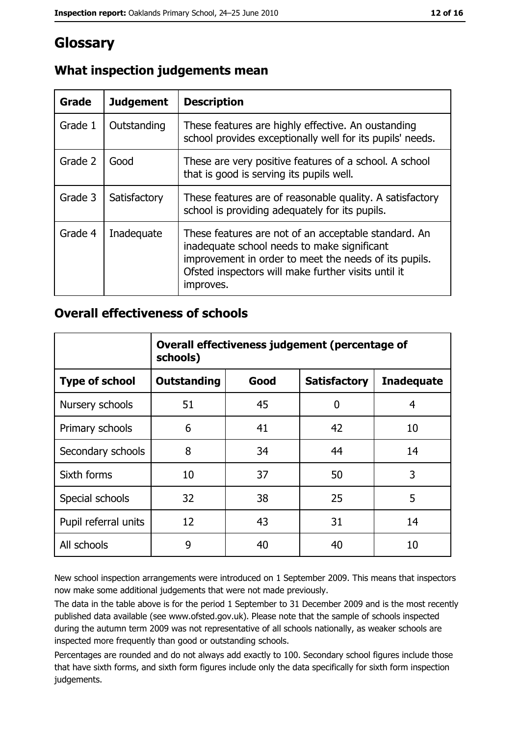# Glossary

| Grade   | <b>Judgement</b> | <b>Description</b>                                                                                                                                                                                                               |
|---------|------------------|----------------------------------------------------------------------------------------------------------------------------------------------------------------------------------------------------------------------------------|
| Grade 1 | Outstanding      | These features are highly effective. An oustanding<br>school provides exceptionally well for its pupils' needs.                                                                                                                  |
| Grade 2 | Good             | These are very positive features of a school. A school<br>that is good is serving its pupils well.                                                                                                                               |
| Grade 3 | Satisfactory     | These features are of reasonable quality. A satisfactory<br>school is providing adequately for its pupils.                                                                                                                       |
| Grade 4 | Inadequate       | These features are not of an acceptable standard. An<br>inadequate school needs to make significant<br>improvement in order to meet the needs of its pupils.<br>Ofsted inspectors will make further visits until it<br>improves. |

# What inspection judgements mean

## **Overall effectiveness of schools**

|                       | Overall effectiveness judgement (percentage of<br>schools) |      |                     |                   |
|-----------------------|------------------------------------------------------------|------|---------------------|-------------------|
| <b>Type of school</b> | <b>Outstanding</b>                                         | Good | <b>Satisfactory</b> | <b>Inadequate</b> |
| Nursery schools       | 51                                                         | 45   | 0                   | 4                 |
| Primary schools       | 6                                                          | 41   | 42                  | 10                |
| Secondary schools     | 8                                                          | 34   | 44                  | 14                |
| Sixth forms           | 10                                                         | 37   | 50                  | 3                 |
| Special schools       | 32                                                         | 38   | 25                  | 5                 |
| Pupil referral units  | 12                                                         | 43   | 31                  | 14                |
| All schools           | 9                                                          | 40   | 40                  | 10                |

New school inspection arrangements were introduced on 1 September 2009. This means that inspectors now make some additional judgements that were not made previously.

The data in the table above is for the period 1 September to 31 December 2009 and is the most recently published data available (see www.ofsted.gov.uk). Please note that the sample of schools inspected during the autumn term 2009 was not representative of all schools nationally, as weaker schools are inspected more frequently than good or outstanding schools.

Percentages are rounded and do not always add exactly to 100. Secondary school figures include those that have sixth forms, and sixth form figures include only the data specifically for sixth form inspection judgements.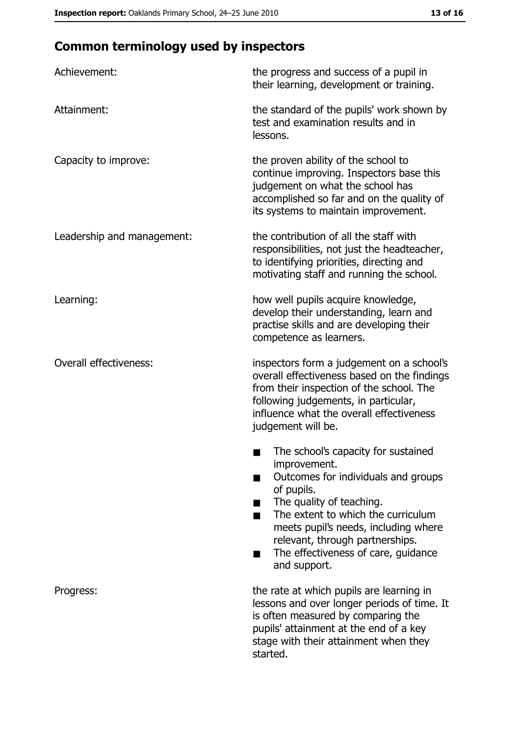# **Common terminology used by inspectors**

| Achievement:                  | the progress and success of a pupil in<br>their learning, development or training.                                                                                                                                                                                                                           |
|-------------------------------|--------------------------------------------------------------------------------------------------------------------------------------------------------------------------------------------------------------------------------------------------------------------------------------------------------------|
| Attainment:                   | the standard of the pupils' work shown by<br>test and examination results and in<br>lessons.                                                                                                                                                                                                                 |
| Capacity to improve:          | the proven ability of the school to<br>continue improving. Inspectors base this<br>judgement on what the school has<br>accomplished so far and on the quality of<br>its systems to maintain improvement.                                                                                                     |
| Leadership and management:    | the contribution of all the staff with<br>responsibilities, not just the headteacher,<br>to identifying priorities, directing and<br>motivating staff and running the school.                                                                                                                                |
| Learning:                     | how well pupils acquire knowledge,<br>develop their understanding, learn and<br>practise skills and are developing their<br>competence as learners.                                                                                                                                                          |
| <b>Overall effectiveness:</b> | inspectors form a judgement on a school's<br>overall effectiveness based on the findings<br>from their inspection of the school. The<br>following judgements, in particular,<br>influence what the overall effectiveness<br>judgement will be.                                                               |
|                               | The school's capacity for sustained<br>improvement.<br>Outcomes for individuals and groups<br>of pupils.<br>The quality of teaching.<br>The extent to which the curriculum<br>meets pupil's needs, including where<br>relevant, through partnerships.<br>The effectiveness of care, guidance<br>and support. |
| Progress:                     | the rate at which pupils are learning in<br>lessons and over longer periods of time. It<br>is often measured by comparing the<br>pupils' attainment at the end of a key<br>stage with their attainment when they<br>started.                                                                                 |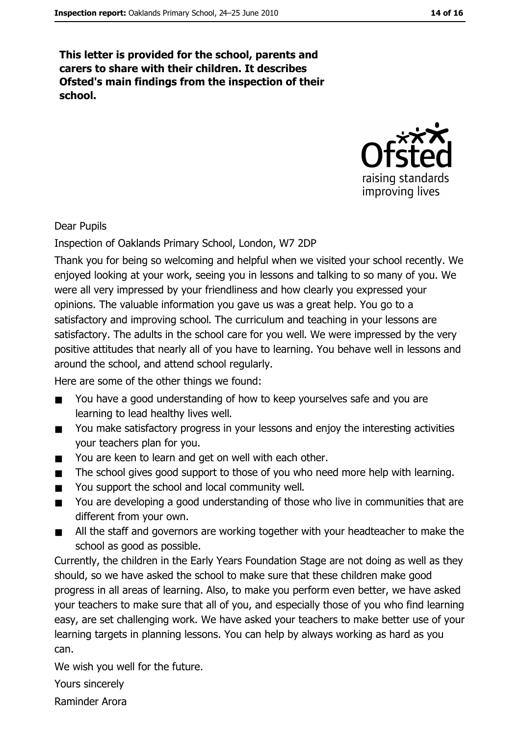This letter is provided for the school, parents and carers to share with their children. It describes Ofsted's main findings from the inspection of their school.



#### **Dear Pupils**

Inspection of Oaklands Primary School, London, W7 2DP

Thank you for being so welcoming and helpful when we visited your school recently. We enjoyed looking at your work, seeing you in lessons and talking to so many of you. We were all very impressed by your friendliness and how clearly you expressed your opinions. The valuable information you gave us was a great help. You go to a satisfactory and improving school. The curriculum and teaching in your lessons are satisfactory. The adults in the school care for you well. We were impressed by the very positive attitudes that nearly all of you have to learning. You behave well in lessons and around the school, and attend school regularly.

Here are some of the other things we found:

- You have a good understanding of how to keep yourselves safe and you are  $\blacksquare$ learning to lead healthy lives well.
- You make satisfactory progress in your lessons and enjoy the interesting activities  $\blacksquare$ your teachers plan for you.
- You are keen to learn and get on well with each other.  $\blacksquare$
- The school gives good support to those of you who need more help with learning.  $\blacksquare$
- You support the school and local community well.  $\blacksquare$
- You are developing a good understanding of those who live in communities that are  $\blacksquare$ different from your own.
- All the staff and governors are working together with your headteacher to make the  $\blacksquare$ school as good as possible.

Currently, the children in the Early Years Foundation Stage are not doing as well as they should, so we have asked the school to make sure that these children make good progress in all areas of learning. Also, to make you perform even better, we have asked your teachers to make sure that all of you, and especially those of you who find learning easy, are set challenging work. We have asked your teachers to make better use of your learning targets in planning lessons. You can help by always working as hard as you can.

We wish you well for the future.

Yours sincerely

Raminder Arora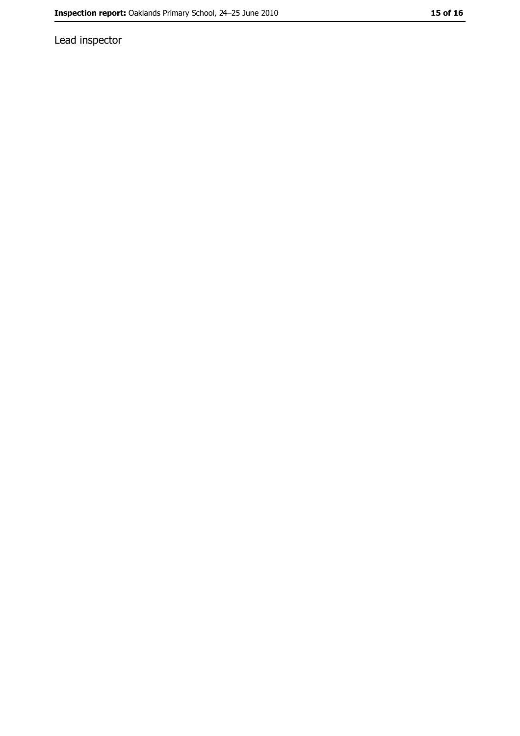Lead inspector